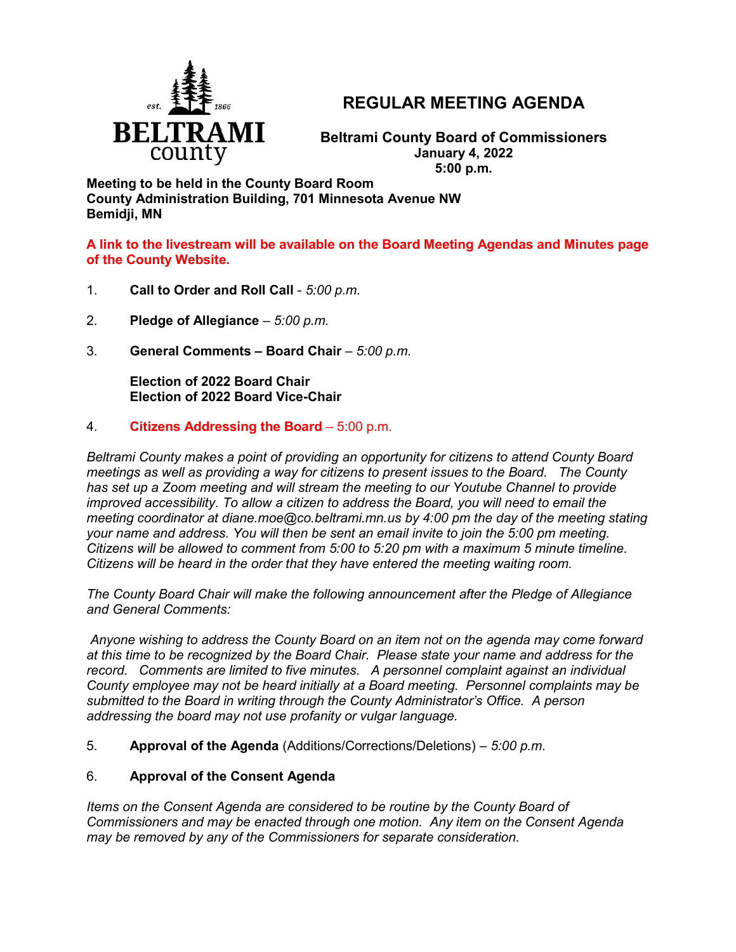

# **REGULAR MEETING AGENDA**

**Beltrami County Board of Commissioners January 4, 2022 5:00 p.m.**

**Meeting to be held in the County Board Room County Administration Building, 701 Minnesota Avenue NW Bemidji, MN**

**A link to the livestream will be available on the Board Meeting Agendas and Minutes page of the County Website.**

- 1. **Call to Order and Roll Call** *5:00 p.m.*
- 2. **Pledge of Allegiance**  *5:00 p.m.*
- 3. **General Comments – Board Chair** *5:00 p.m.*

**Election of 2022 Board Chair Election of 2022 Board Vice-Chair**

## 4. **Citizens Addressing the Board** – 5:00 p.m.

*Beltrami County makes a point of providing an opportunity for citizens to attend County Board meetings as well as providing a way for citizens to present issues to the Board. The County has set up a Zoom meeting and will stream the meeting to our Youtube Channel to provide improved accessibility. To allow a citizen to address the Board, you will need to email the meeting coordinator at diane.moe@co.beltrami.mn.us by 4:00 pm the day of the meeting stating your name and address. You will then be sent an email invite to join the 5:00 pm meeting. Citizens will be allowed to comment from 5:00 to 5:20 pm with a maximum 5 minute timeline. Citizens will be heard in the order that they have entered the meeting waiting room.* 

*The County Board Chair will make the following announcement after the Pledge of Allegiance and General Comments:*

*Anyone wishing to address the County Board on an item not on the agenda may come forward at this time to be recognized by the Board Chair. Please state your name and address for the record. Comments are limited to five minutes. A personnel complaint against an individual County employee may not be heard initially at a Board meeting. Personnel complaints may be submitted to the Board in writing through the County Administrator's Office. A person addressing the board may not use profanity or vulgar language.*

5. **Approval of the Agenda** (Additions/Corrections/Deletions) – *5:00 p.m.*

## 6. **Approval of the Consent Agenda**

*Items on the Consent Agenda are considered to be routine by the County Board of Commissioners and may be enacted through one motion. Any item on the Consent Agenda may be removed by any of the Commissioners for separate consideration*.